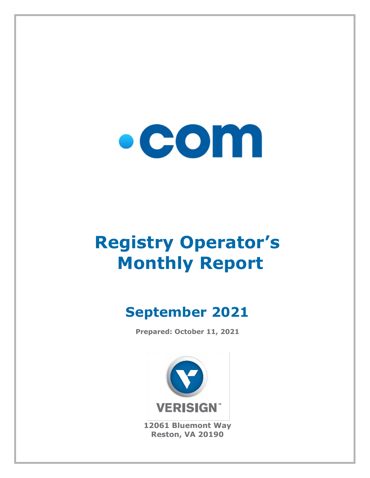

# **Registry Operator's Monthly Report**

# **September 2021**

**Prepared: October 11, 2021**



**12061 Bluemont Way Reston, VA 20190**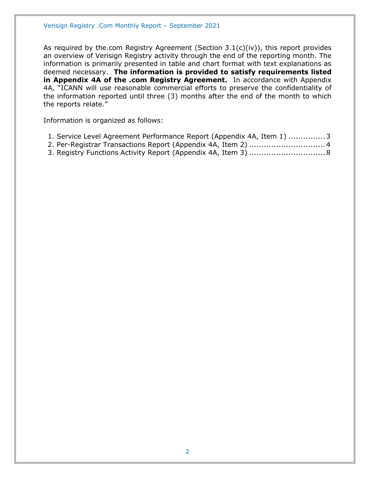As required by the.com Registry Agreement (Section 3.1(c)(iv)), this report provides an overview of Verisign Registry activity through the end of the reporting month. The information is primarily presented in table and chart format with text explanations as deemed necessary. **The information is provided to satisfy requirements listed in Appendix 4A of the .com Registry Agreement.** In accordance with Appendix 4A, "ICANN will use reasonable commercial efforts to preserve the confidentiality of the information reported until three (3) months after the end of the month to which the reports relate."

Information is organized as follows:

- [1. Service Level Agreement Performance Report \(Appendix 4A, Item 1\)](#page-2-0) ...............3
- [2. Per-Registrar Transactions Report \(Appendix 4A,](#page-3-0) Item 2) ...............................4
- [3. Registry Functions Activity Report \(Appendix 4A, Item 3\)](#page-7-0) ...............................8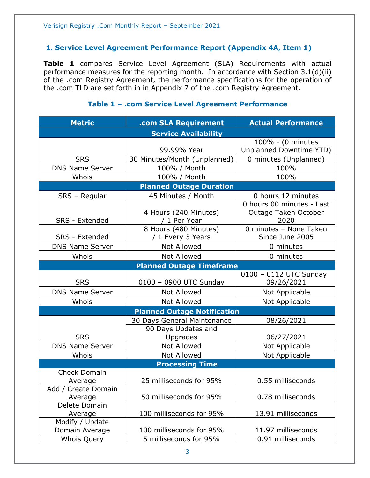#### <span id="page-2-0"></span>**1. Service Level Agreement Performance Report (Appendix 4A, Item 1)**

**Table 1** compares Service Level Agreement (SLA) Requirements with actual performance measures for the reporting month. In accordance with Section 3.1(d)(ii) of the .com Registry Agreement, the performance specifications for the operation of the .com TLD are set forth in in Appendix 7 of the .com Registry Agreement.

#### **Metric .com SLA Requirement Actual Performance Service Availability** SRS 99.99% Year 100% - (0 minutes Unplanned Downtime YTD) 30 Minutes/Month (Unplanned) | 0 minutes (Unplanned) DNS Name Server | 100% / Month | 100% Whois 100% / Month 100% 100% **Planned Outage Duration** SRS – Regular | 45 Minutes / Month | 0 hours 12 minutes SRS - Extended 4 Hours (240 Minutes) / 1 Per Year 0 hours 00 minutes - Last Outage Taken October 2020 SRS - Extended 8 Hours (480 Minutes) / 1 Every 3 Years 0 minutes – None Taken Since June 2005 DNS Name Server  $\begin{array}{ccc} \hline \text{Not} & \text{Allowed} & \text{O} & \text{O} \\ \hline \end{array}$ Whois  $\vert$  Not Allowed  $\vert$  0 minutes **Planned Outage Timeframe** SRS | 0100 – 0900 UTC Sunday 0100 – 0112 UTC Sunday 09/26/2021 DNS Name Server Not Allowed Not Applicable Whois | Not Allowed | Not Applicable **Planned Outage Notification SRS** 30 Days General Maintenance | 08/26/2021 90 Days Updates and Upgrades 106/27/2021 DNS Name Server | Not Allowed | Not Applicable Whois | Not Allowed | Not Applicable **Processing Time** Check Domain Average 25 milliseconds for 95% 0.55 milliseconds Add / Create Domain Average 1.1 50 milliseconds for 95% 1.1 0.78 milliseconds Delete Domain Average 100 milliseconds for 95% 13.91 milliseconds Modify / Update Domain Average | 100 milliseconds for 95% | 11.97 milliseconds Whois Query 5 milliseconds for 95% 0.91 milliseconds

#### **Table 1 – .com Service Level Agreement Performance**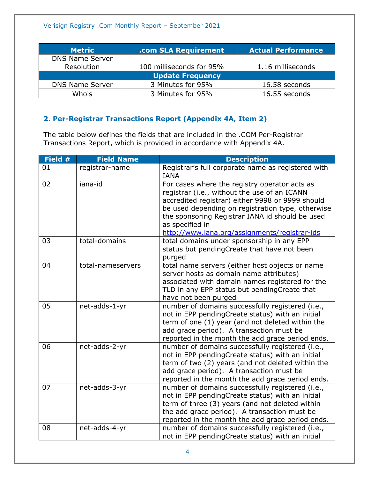| <b>Metric</b>           | .com SLA Requirement     | <b>Actual Performance</b> |  |
|-------------------------|--------------------------|---------------------------|--|
| <b>DNS Name Server</b>  |                          |                           |  |
| Resolution              | 100 milliseconds for 95% | 1.16 milliseconds         |  |
| <b>Update Frequency</b> |                          |                           |  |
| <b>DNS Name Server</b>  | 3 Minutes for 95%        | 16.58 seconds             |  |
| Whois                   | 3 Minutes for 95%        | 16.55 seconds             |  |

### <span id="page-3-0"></span>**2. Per-Registrar Transactions Report (Appendix 4A, Item 2)**

The table below defines the fields that are included in the .COM Per-Registrar Transactions Report, which is provided in accordance with Appendix 4A.

| Field # | <b>Field Name</b> | <b>Description</b>                                                                                                                                                                                                                                                                                                            |
|---------|-------------------|-------------------------------------------------------------------------------------------------------------------------------------------------------------------------------------------------------------------------------------------------------------------------------------------------------------------------------|
| 01      | registrar-name    | Registrar's full corporate name as registered with<br><b>IANA</b>                                                                                                                                                                                                                                                             |
| 02      | iana-id           | For cases where the registry operator acts as<br>registrar (i.e., without the use of an ICANN<br>accredited registrar) either 9998 or 9999 should<br>be used depending on registration type, otherwise<br>the sponsoring Registrar IANA id should be used<br>as specified in<br>http://www.iana.org/assignments/registrar-ids |
| 03      | total-domains     | total domains under sponsorship in any EPP<br>status but pendingCreate that have not been<br>purged                                                                                                                                                                                                                           |
| 04      | total-nameservers | total name servers (either host objects or name<br>server hosts as domain name attributes)<br>associated with domain names registered for the<br>TLD in any EPP status but pendingCreate that<br>have not been purged                                                                                                         |
| 05      | net-adds-1-yr     | number of domains successfully registered (i.e.,<br>not in EPP pendingCreate status) with an initial<br>term of one (1) year (and not deleted within the<br>add grace period). A transaction must be<br>reported in the month the add grace period ends.                                                                      |
| 06      | net-adds-2-yr     | number of domains successfully registered (i.e.,<br>not in EPP pendingCreate status) with an initial<br>term of two (2) years (and not deleted within the<br>add grace period). A transaction must be<br>reported in the month the add grace period ends.                                                                     |
| 07      | net-adds-3-yr     | number of domains successfully registered (i.e.,<br>not in EPP pendingCreate status) with an initial<br>term of three (3) years (and not deleted within<br>the add grace period). A transaction must be<br>reported in the month the add grace period ends.                                                                   |
| 08      | net-adds-4-yr     | number of domains successfully registered (i.e.,<br>not in EPP pendingCreate status) with an initial                                                                                                                                                                                                                          |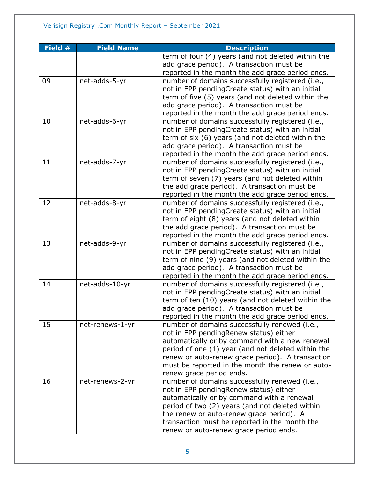| Field # | <b>Field Name</b> | <b>Description</b>                                 |
|---------|-------------------|----------------------------------------------------|
|         |                   | term of four (4) years (and not deleted within the |
|         |                   | add grace period). A transaction must be           |
|         |                   | reported in the month the add grace period ends.   |
| 09      | net-adds-5-yr     | number of domains successfully registered (i.e.,   |
|         |                   | not in EPP pendingCreate status) with an initial   |
|         |                   | term of five (5) years (and not deleted within the |
|         |                   | add grace period). A transaction must be           |
|         |                   | reported in the month the add grace period ends.   |
| 10      | net-adds-6-yr     | number of domains successfully registered (i.e.,   |
|         |                   | not in EPP pendingCreate status) with an initial   |
|         |                   | term of six (6) years (and not deleted within the  |
|         |                   | add grace period). A transaction must be           |
|         |                   | reported in the month the add grace period ends.   |
| 11      | net-adds-7-yr     | number of domains successfully registered (i.e.,   |
|         |                   | not in EPP pendingCreate status) with an initial   |
|         |                   | term of seven (7) years (and not deleted within    |
|         |                   | the add grace period). A transaction must be       |
|         |                   | reported in the month the add grace period ends.   |
| 12      | net-adds-8-yr     | number of domains successfully registered (i.e.,   |
|         |                   | not in EPP pendingCreate status) with an initial   |
|         |                   | term of eight (8) years (and not deleted within    |
|         |                   | the add grace period). A transaction must be       |
|         |                   | reported in the month the add grace period ends.   |
| 13      | net-adds-9-yr     | number of domains successfully registered (i.e.,   |
|         |                   | not in EPP pendingCreate status) with an initial   |
|         |                   | term of nine (9) years (and not deleted within the |
|         |                   | add grace period). A transaction must be           |
|         |                   | reported in the month the add grace period ends.   |
| 14      | net-adds-10-yr    | number of domains successfully registered (i.e.,   |
|         |                   | not in EPP pendingCreate status) with an initial   |
|         |                   | term of ten (10) years (and not deleted within the |
|         |                   | add grace period). A transaction must be           |
|         |                   | reported in the month the add grace period ends.   |
| 15      | net-renews-1-yr   | number of domains successfully renewed (i.e.,      |
|         |                   | not in EPP pendingRenew status) either             |
|         |                   | automatically or by command with a new renewal     |
|         |                   | period of one (1) year (and not deleted within the |
|         |                   | renew or auto-renew grace period). A transaction   |
|         |                   | must be reported in the month the renew or auto-   |
|         |                   | renew grace period ends.                           |
| 16      | net-renews-2-yr   | number of domains successfully renewed (i.e.,      |
|         |                   | not in EPP pending Renew status) either            |
|         |                   | automatically or by command with a renewal         |
|         |                   | period of two (2) years (and not deleted within    |
|         |                   | the renew or auto-renew grace period). A           |
|         |                   | transaction must be reported in the month the      |
|         |                   | renew or auto-renew grace period ends.             |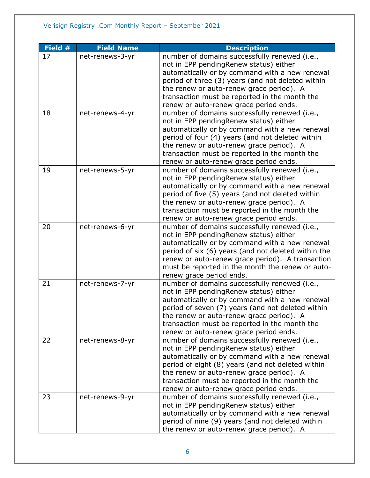| Field # | <b>Field Name</b> | <b>Description</b>                                                                                      |
|---------|-------------------|---------------------------------------------------------------------------------------------------------|
| 17      | net-renews-3-yr   | number of domains successfully renewed (i.e.,                                                           |
|         |                   | not in EPP pendingRenew status) either                                                                  |
|         |                   | automatically or by command with a new renewal                                                          |
|         |                   | period of three (3) years (and not deleted within                                                       |
|         |                   | the renew or auto-renew grace period). A                                                                |
|         |                   | transaction must be reported in the month the                                                           |
|         |                   | renew or auto-renew grace period ends.                                                                  |
| 18      | net-renews-4-yr   | number of domains successfully renewed (i.e.,                                                           |
|         |                   | not in EPP pendingRenew status) either                                                                  |
|         |                   | automatically or by command with a new renewal                                                          |
|         |                   | period of four (4) years (and not deleted within                                                        |
|         |                   | the renew or auto-renew grace period). A                                                                |
|         |                   | transaction must be reported in the month the                                                           |
|         |                   | renew or auto-renew grace period ends.                                                                  |
| 19      | net-renews-5-yr   | number of domains successfully renewed (i.e.,                                                           |
|         |                   | not in EPP pendingRenew status) either                                                                  |
|         |                   | automatically or by command with a new renewal                                                          |
|         |                   | period of five (5) years (and not deleted within                                                        |
|         |                   | the renew or auto-renew grace period). A                                                                |
|         |                   | transaction must be reported in the month the                                                           |
|         |                   | renew or auto-renew grace period ends.                                                                  |
| 20      | net-renews-6-yr   | number of domains successfully renewed (i.e.,                                                           |
|         |                   | not in EPP pendingRenew status) either                                                                  |
|         |                   | automatically or by command with a new renewal                                                          |
|         |                   | period of six (6) years (and not deleted within the<br>renew or auto-renew grace period). A transaction |
|         |                   | must be reported in the month the renew or auto-                                                        |
|         |                   | renew grace period ends.                                                                                |
| 21      | net-renews-7-yr   | number of domains successfully renewed (i.e.,                                                           |
|         |                   | not in EPP pendingRenew status) either                                                                  |
|         |                   | automatically or by command with a new renewal                                                          |
|         |                   | period of seven (7) years (and not deleted within                                                       |
|         |                   | the renew or auto-renew grace period). A                                                                |
|         |                   | transaction must be reported in the month the                                                           |
|         |                   | renew or auto-renew grace period ends.                                                                  |
| 22      | net-renews-8-yr   | number of domains successfully renewed (i.e.,                                                           |
|         |                   | not in EPP pendingRenew status) either                                                                  |
|         |                   | automatically or by command with a new renewal                                                          |
|         |                   | period of eight (8) years (and not deleted within                                                       |
|         |                   | the renew or auto-renew grace period). A                                                                |
|         |                   | transaction must be reported in the month the                                                           |
|         |                   | renew or auto-renew grace period ends.                                                                  |
| 23      | net-renews-9-yr   | number of domains successfully renewed (i.e.,                                                           |
|         |                   | not in EPP pendingRenew status) either                                                                  |
|         |                   | automatically or by command with a new renewal                                                          |
|         |                   | period of nine (9) years (and not deleted within                                                        |
|         |                   | the renew or auto-renew grace period). A                                                                |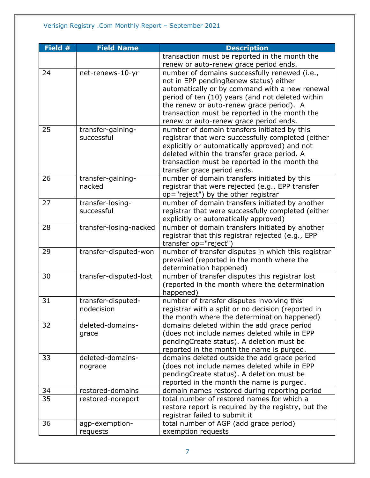| Field $#$ | <b>Field Name</b>      | <b>Description</b>                                  |
|-----------|------------------------|-----------------------------------------------------|
|           |                        | transaction must be reported in the month the       |
|           |                        | renew or auto-renew grace period ends.              |
| 24        | net-renews-10-yr       | number of domains successfully renewed (i.e.,       |
|           |                        | not in EPP pendingRenew status) either              |
|           |                        | automatically or by command with a new renewal      |
|           |                        | period of ten (10) years (and not deleted within    |
|           |                        | the renew or auto-renew grace period). A            |
|           |                        | transaction must be reported in the month the       |
|           |                        | renew or auto-renew grace period ends.              |
| 25        | transfer-gaining-      | number of domain transfers initiated by this        |
|           | successful             | registrar that were successfully completed (either  |
|           |                        | explicitly or automatically approved) and not       |
|           |                        | deleted within the transfer grace period. A         |
|           |                        | transaction must be reported in the month the       |
|           |                        | transfer grace period ends.                         |
| 26        | transfer-gaining-      | number of domain transfers initiated by this        |
|           | nacked                 | registrar that were rejected (e.g., EPP transfer    |
|           |                        | op="reject") by the other registrar                 |
| 27        | transfer-losing-       | number of domain transfers initiated by another     |
|           | successful             | registrar that were successfully completed (either  |
|           |                        | explicitly or automatically approved)               |
| 28        | transfer-losing-nacked | number of domain transfers initiated by another     |
|           |                        | registrar that this registrar rejected (e.g., EPP   |
|           |                        | transfer op="reject")                               |
| 29        | transfer-disputed-won  | number of transfer disputes in which this registrar |
|           |                        | prevailed (reported in the month where the          |
|           |                        | determination happened)                             |
| 30        | transfer-disputed-lost | number of transfer disputes this registrar lost     |
|           |                        | (reported in the month where the determination      |
|           |                        | happened)                                           |
| 31        | transfer-disputed-     | number of transfer disputes involving this          |
|           | nodecision             | registrar with a split or no decision (reported in  |
|           |                        | the month where the determination happened)         |
| 32        | deleted-domains-       | domains deleted within the add grace period         |
|           | grace                  | (does not include names deleted while in EPP        |
|           |                        | pendingCreate status). A deletion must be           |
|           |                        | reported in the month the name is purged.           |
| 33        | deleted-domains-       | domains deleted outside the add grace period        |
|           | nograce                | (does not include names deleted while in EPP        |
|           |                        | pendingCreate status). A deletion must be           |
|           |                        | reported in the month the name is purged.           |
| 34        | restored-domains       | domain names restored during reporting period       |
| 35        | restored-noreport      | total number of restored names for which a          |
|           |                        | restore report is required by the registry, but the |
|           |                        | registrar failed to submit it                       |
| 36        | agp-exemption-         | total number of AGP (add grace period)              |
|           | requests               | exemption requests                                  |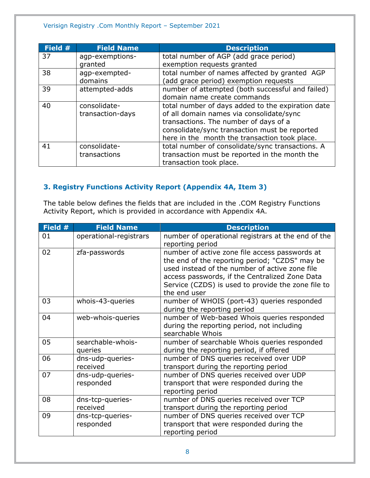| Field # | <b>Field Name</b> | <b>Description</b>                                |
|---------|-------------------|---------------------------------------------------|
| 37      | agp-exemptions-   | total number of AGP (add grace period)            |
|         | granted           | exemption requests granted                        |
| 38      | agp-exempted-     | total number of names affected by granted AGP     |
|         | domains           | (add grace period) exemption requests             |
| 39      | attempted-adds    | number of attempted (both successful and failed)  |
|         |                   | domain name create commands                       |
| 40      | consolidate-      | total number of days added to the expiration date |
|         | transaction-days  | of all domain names via consolidate/sync          |
|         |                   | transactions. The number of days of a             |
|         |                   | consolidate/sync transaction must be reported     |
|         |                   | here in the month the transaction took place.     |
| 41      | consolidate-      | total number of consolidate/sync transactions. A  |
|         | transactions      | transaction must be reported in the month the     |
|         |                   | transaction took place.                           |

## <span id="page-7-0"></span>**3. Registry Functions Activity Report (Appendix 4A, Item 3)**

The table below defines the fields that are included in the .COM Registry Functions Activity Report, which is provided in accordance with Appendix 4A.

| Field # | <b>Field Name</b>             | <b>Description</b>                                                                                                                                                                                                                                                         |
|---------|-------------------------------|----------------------------------------------------------------------------------------------------------------------------------------------------------------------------------------------------------------------------------------------------------------------------|
| 01      | operational-registrars        | number of operational registrars at the end of the<br>reporting period                                                                                                                                                                                                     |
| 02      | zfa-passwords                 | number of active zone file access passwords at<br>the end of the reporting period; "CZDS" may be<br>used instead of the number of active zone file<br>access passwords, if the Centralized Zone Data<br>Service (CZDS) is used to provide the zone file to<br>the end user |
| 03      | whois-43-queries              | number of WHOIS (port-43) queries responded<br>during the reporting period                                                                                                                                                                                                 |
| 04      | web-whois-queries             | number of Web-based Whois queries responded<br>during the reporting period, not including<br>searchable Whois                                                                                                                                                              |
| 05      | searchable-whois-<br>queries  | number of searchable Whois queries responded<br>during the reporting period, if offered                                                                                                                                                                                    |
| 06      | dns-udp-queries-<br>received  | number of DNS queries received over UDP<br>transport during the reporting period                                                                                                                                                                                           |
| 07      | dns-udp-queries-<br>responded | number of DNS queries received over UDP<br>transport that were responded during the<br>reporting period                                                                                                                                                                    |
| 08      | dns-tcp-queries-<br>received  | number of DNS queries received over TCP<br>transport during the reporting period                                                                                                                                                                                           |
| 09      | dns-tcp-queries-<br>responded | number of DNS queries received over TCP<br>transport that were responded during the<br>reporting period                                                                                                                                                                    |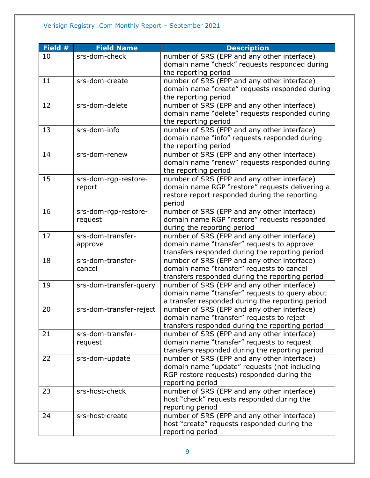| Field # | <b>Field Name</b>       | <b>Description</b>                               |
|---------|-------------------------|--------------------------------------------------|
| 10      | srs-dom-check           | number of SRS (EPP and any other interface)      |
|         |                         | domain name "check" requests responded during    |
|         |                         | the reporting period                             |
| 11      | srs-dom-create          | number of SRS (EPP and any other interface)      |
|         |                         | domain name "create" requests responded during   |
|         |                         | the reporting period                             |
| 12      | srs-dom-delete          | number of SRS (EPP and any other interface)      |
|         |                         | domain name "delete" requests responded during   |
|         |                         | the reporting period                             |
| 13      | srs-dom-info            | number of SRS (EPP and any other interface)      |
|         |                         | domain name "info" requests responded during     |
|         |                         | the reporting period                             |
| 14      | srs-dom-renew           | number of SRS (EPP and any other interface)      |
|         |                         | domain name "renew" requests responded during    |
|         |                         | the reporting period                             |
| 15      | srs-dom-rgp-restore-    | number of SRS (EPP and any other interface)      |
|         | report                  | domain name RGP "restore" requests delivering a  |
|         |                         | restore report responded during the reporting    |
|         |                         | period                                           |
| 16      | srs-dom-rgp-restore-    | number of SRS (EPP and any other interface)      |
|         | request                 | domain name RGP "restore" requests responded     |
|         |                         | during the reporting period                      |
| 17      | srs-dom-transfer-       | number of SRS (EPP and any other interface)      |
|         | approve                 | domain name "transfer" requests to approve       |
|         |                         | transfers responded during the reporting period  |
| 18      | srs-dom-transfer-       | number of SRS (EPP and any other interface)      |
|         | cancel                  | domain name "transfer" requests to cancel        |
|         |                         | transfers responded during the reporting period  |
| 19      | srs-dom-transfer-query  | number of SRS (EPP and any other interface)      |
|         |                         | domain name "transfer" requests to query about   |
|         |                         | a transfer responded during the reporting period |
| 20      | srs-dom-transfer-reject | number of SRS (EPP and any other interface)      |
|         |                         | domain name "transfer" requests to reject        |
|         |                         | transfers responded during the reporting period  |
| 21      | srs-dom-transfer-       | number of SRS (EPP and any other interface)      |
|         | request                 | domain name "transfer" requests to request       |
|         |                         | transfers responded during the reporting period  |
| 22      | srs-dom-update          | number of SRS (EPP and any other interface)      |
|         |                         | domain name "update" requests (not including     |
|         |                         | RGP restore requests) responded during the       |
|         |                         | reporting period                                 |
| 23      | srs-host-check          | number of SRS (EPP and any other interface)      |
|         |                         | host "check" requests responded during the       |
|         |                         | reporting period                                 |
| 24      | srs-host-create         | number of SRS (EPP and any other interface)      |
|         |                         | host "create" requests responded during the      |
|         |                         | reporting period                                 |